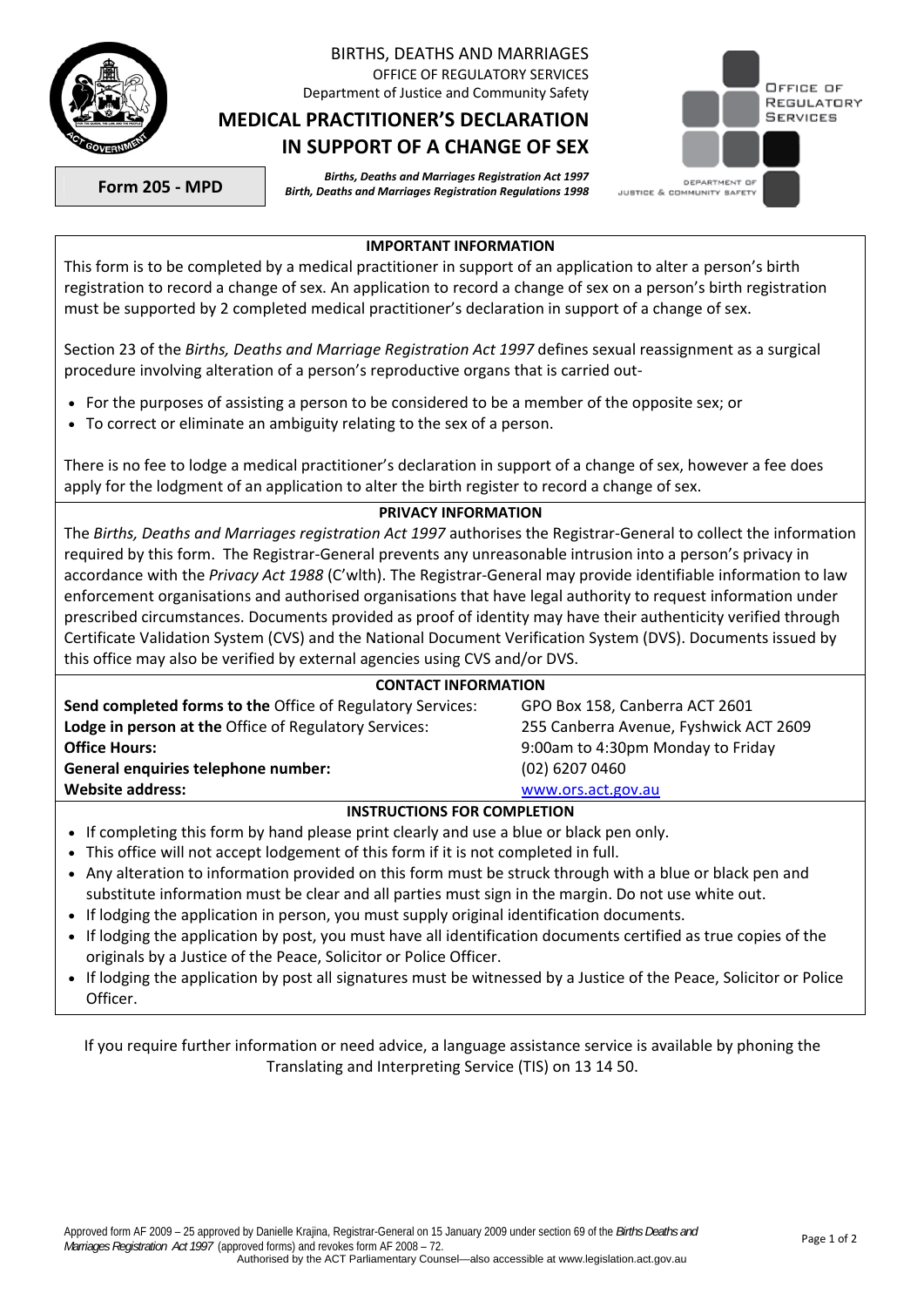

## BIRTHS, DEATHS AND MARRIAGES OFFICE OF REGULATORY SERVICES

Department of Justice and Community Safety

## **MEDICAL PRACTITIONER'S DECLARATION IN SUPPORT OF A CHANGE OF SEX**



**Form 205 - MPD** *Births, Deaths and Marriages Registration Act 1997 Birth, Deaths and Marriages Registration Regulations 1998* 

## **IMPORTANT INFORMATION**

This form is to be completed by a medical practitioner in support of an application to alter a person's birth registration to record a change of sex. An application to record a change of sex on a person's birth registration must be supported by 2 completed medical practitioner's declaration in support of a change of sex.

Section 23 of the *Births, Deaths and Marriage Registration Act 1997* defines sexual reassignment as a surgical procedure involving alteration of a person's reproductive organs that is carried out-

- For the purposes of assisting a person to be considered to be a member of the opposite sex; or
- To correct or eliminate an ambiguity relating to the sex of a person.

There is no fee to lodge a medical practitioner's declaration in support of a change of sex, however a fee does apply for the lodgment of an application to alter the birth register to record a change of sex.

## **PRIVACY INFORMATION**

The *Births, Deaths and Marriages registration Act 1997* authorises the Registrar-General to collect the information required by this form. The Registrar-General prevents any unreasonable intrusion into a person's privacy in accordance with the *Privacy Act 1988* (C'wlth). The Registrar-General may provide identifiable information to law enforcement organisations and authorised organisations that have legal authority to request information under prescribed circumstances. Documents provided as proof of identity may have their authenticity verified through Certificate Validation System (CVS) and the National Document Verification System (DVS). Documents issued by this office may also be verified by external agencies using CVS and/or DVS.

| <b>CONTACT INFORMATION</b>                                 |                                        |  |  |
|------------------------------------------------------------|----------------------------------------|--|--|
| Send completed forms to the Office of Regulatory Services: | GPO Box 158, Canberra ACT 2601         |  |  |
| Lodge in person at the Office of Regulatory Services:      | 255 Canberra Avenue, Fyshwick ACT 2609 |  |  |
| <b>Office Hours:</b>                                       | 9:00am to 4:30pm Monday to Friday      |  |  |
| General enquiries telephone number:                        | $(02)$ 6207 0460                       |  |  |
| <b>Website address:</b>                                    | www.ors.act.gov.au                     |  |  |
| INSTRUCTIONS FOR COMPLETION                                |                                        |  |  |

- If completing this form by hand please print clearly and use a blue or black pen only.
- This office will not accept lodgement of this form if it is not completed in full.
- Any alteration to information provided on this form must be struck through with a blue or black pen and substitute information must be clear and all parties must sign in the margin. Do not use white out.
- If lodging the application in person, you must supply original identification documents.
- If lodging the application by post, you must have all identification documents certified as true copies of the originals by a Justice of the Peace, Solicitor or Police Officer.
- If lodging the application by post all signatures must be witnessed by a Justice of the Peace, Solicitor or Police Officer.

If you require further information or need advice, a language assistance service is available by phoning the Translating and Interpreting Service (TIS) on 13 14 50.